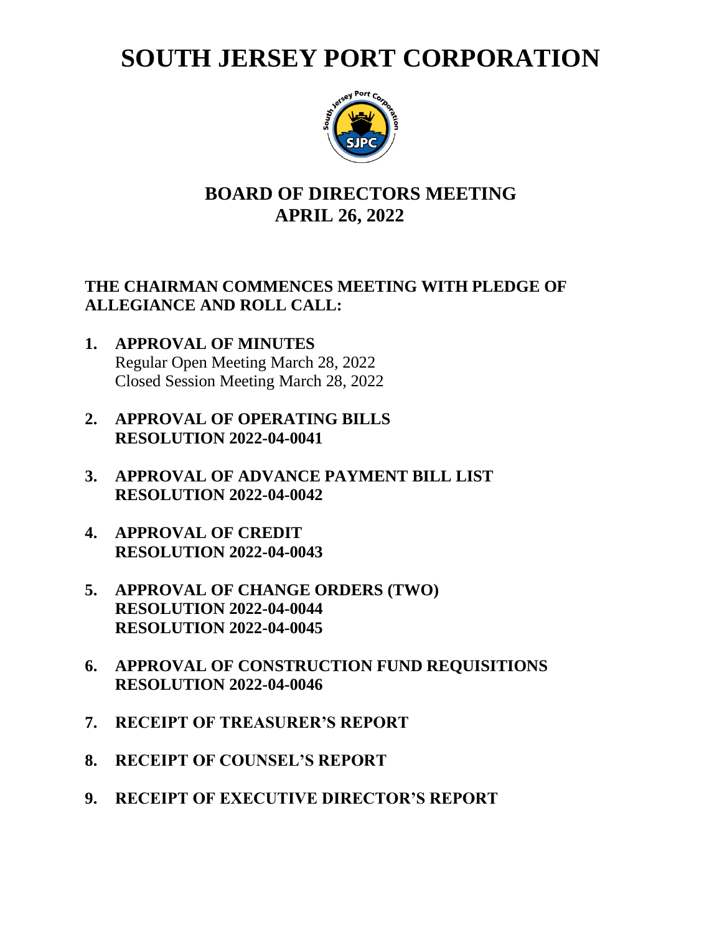# **SOUTH JERSEY PORT CORPORATION**



## **BOARD OF DIRECTORS MEETING APRIL 26, 2022**

#### **THE CHAIRMAN COMMENCES MEETING WITH PLEDGE OF ALLEGIANCE AND ROLL CALL:**

- **1. APPROVAL OF MINUTES** Regular Open Meeting March 28, 2022 Closed Session Meeting March 28, 2022
- **2. APPROVAL OF OPERATING BILLS RESOLUTION 2022-04-0041**
- **3. APPROVAL OF ADVANCE PAYMENT BILL LIST RESOLUTION 2022-04-0042**
- **4. APPROVAL OF CREDIT RESOLUTION 2022-04-0043**
- **5. APPROVAL OF CHANGE ORDERS (TWO) RESOLUTION 2022-04-0044 RESOLUTION 2022-04-0045**
- **6. APPROVAL OF CONSTRUCTION FUND REQUISITIONS RESOLUTION 2022-04-0046**
- **7. RECEIPT OF TREASURER'S REPORT**
- **8. RECEIPT OF COUNSEL'S REPORT**
- **9. RECEIPT OF EXECUTIVE DIRECTOR'S REPORT**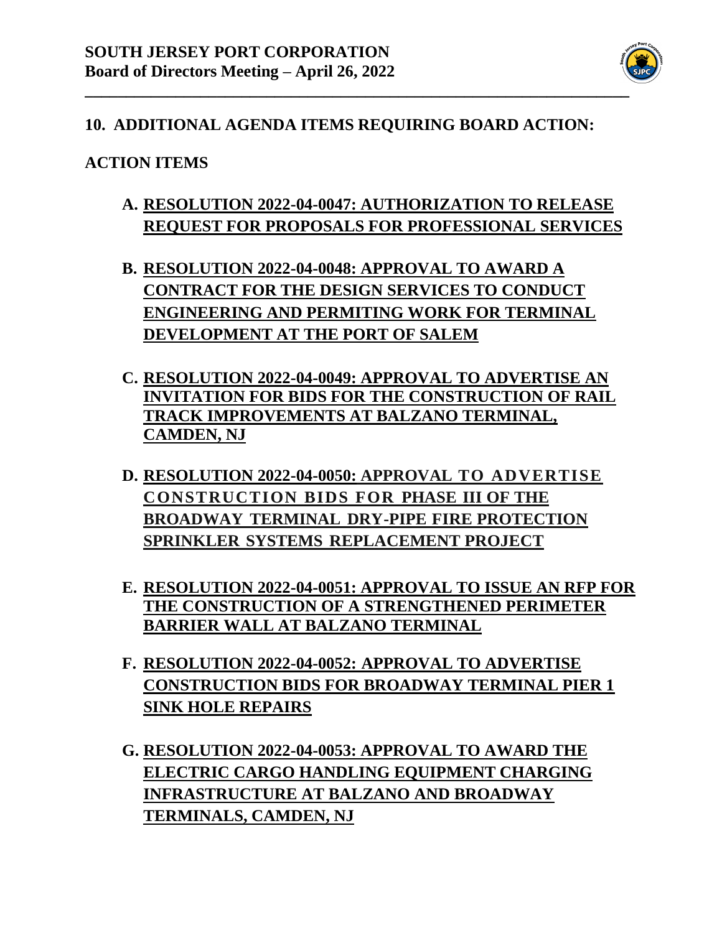

#### **10. ADDITIONAL AGENDA ITEMS REQUIRING BOARD ACTION:**

#### **ACTION ITEMS**

- **A. RESOLUTION 2022-04-0047: AUTHORIZATION TO RELEASE REQUEST FOR PROPOSALS FOR PROFESSIONAL SERVICES**
- **B. RESOLUTION 2022-04-0048: APPROVAL TO AWARD A CONTRACT FOR THE DESIGN SERVICES TO CONDUCT ENGINEERING AND PERMITING WORK FOR TERMINAL DEVELOPMENT AT THE PORT OF SALEM**
- **C. RESOLUTION 2022-04-0049: APPROVAL TO ADVERTISE AN INVITATION FOR BIDS FOR THE CONSTRUCTION OF RAIL TRACK IMPROVEMENTS AT BALZANO TERMINAL, CAMDEN, NJ**
- **D. RESOLUTION 2022-04-0050: APPROVAL TO ADVERTISE CONSTRUCTION BIDS FOR PHASE III OF THE BROADWAY TERMINAL DRY-PIPE FIRE PROTECTION SPRINKLER SYSTEMS REPLACEMENT PROJECT**
- **E. RESOLUTION 2022-04-0051: APPROVAL TO ISSUE AN RFP FOR THE CONSTRUCTION OF A STRENGTHENED PERIMETER BARRIER WALL AT BALZANO TERMINAL**
- **F. RESOLUTION 2022-04-0052: APPROVAL TO ADVERTISE CONSTRUCTION BIDS FOR BROADWAY TERMINAL PIER 1 SINK HOLE REPAIRS**
- **G. RESOLUTION 2022-04-0053: APPROVAL TO AWARD THE ELECTRIC CARGO HANDLING EQUIPMENT CHARGING INFRASTRUCTURE AT BALZANO AND BROADWAY TERMINALS, CAMDEN, NJ**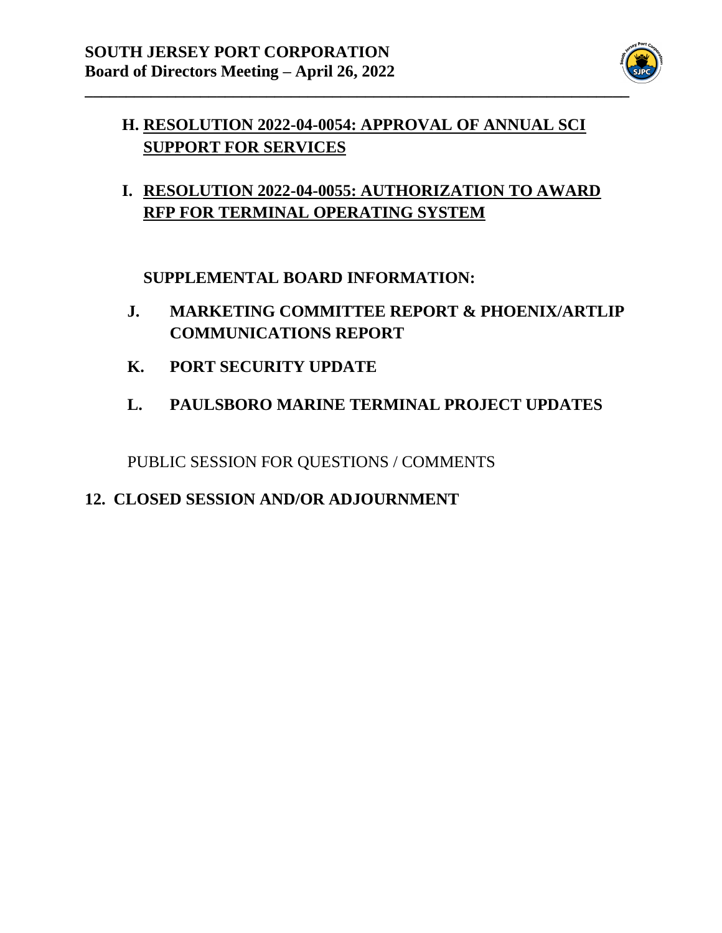

## **H. RESOLUTION 2022-04-0054: APPROVAL OF ANNUAL SCI SUPPORT FOR SERVICES**

**I. RESOLUTION 2022-04-0055: AUTHORIZATION TO AWARD RFP FOR TERMINAL OPERATING SYSTEM**

**SUPPLEMENTAL BOARD INFORMATION:**

- **J. MARKETING COMMITTEE REPORT & PHOENIX/ARTLIP COMMUNICATIONS REPORT**
- **K. PORT SECURITY UPDATE**
- **L. PAULSBORO MARINE TERMINAL PROJECT UPDATES**

PUBLIC SESSION FOR QUESTIONS / COMMENTS

#### **12. CLOSED SESSION AND/OR ADJOURNMENT**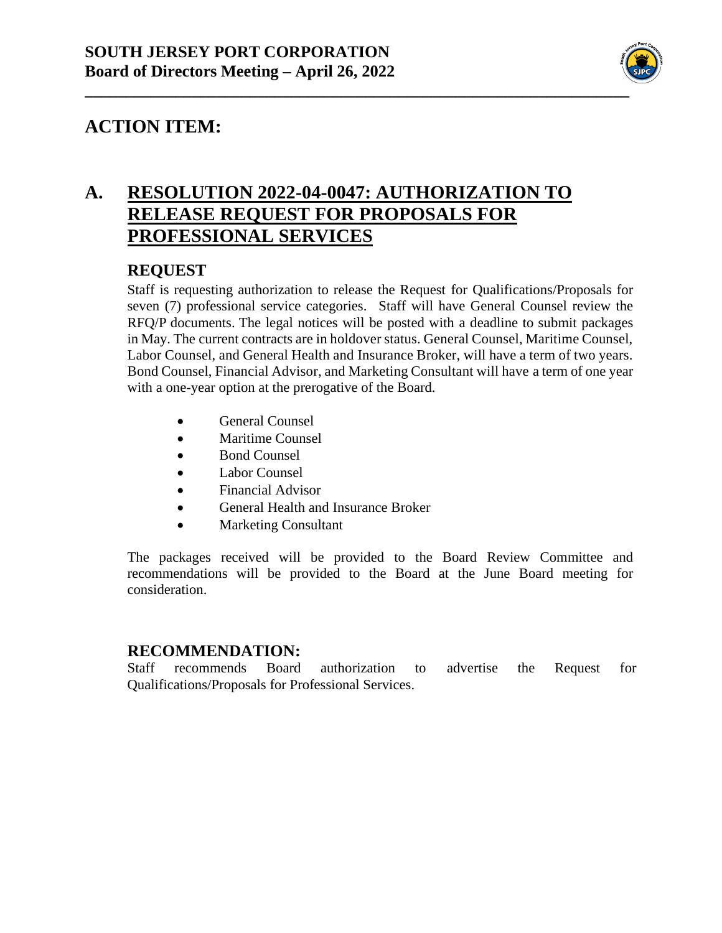

## **A. RESOLUTION 2022-04-0047: AUTHORIZATION TO RELEASE REQUEST FOR PROPOSALS FOR PROFESSIONAL SERVICES**

#### **REQUEST**

Staff is requesting authorization to release the Request for Qualifications/Proposals for seven (7) professional service categories. Staff will have General Counsel review the RFQ/P documents. The legal notices will be posted with a deadline to submit packages in May. The current contracts are in holdover status. General Counsel, Maritime Counsel, Labor Counsel, and General Health and Insurance Broker, will have a term of two years. Bond Counsel, Financial Advisor, and Marketing Consultant will have a term of one year with a one-year option at the prerogative of the Board.

- General Counsel
- Maritime Counsel
- Bond Counsel
- Labor Counsel
- Financial Advisor
- General Health and Insurance Broker
- Marketing Consultant

The packages received will be provided to the Board Review Committee and recommendations will be provided to the Board at the June Board meeting for consideration.

#### **RECOMMENDATION:**

Staff recommends Board authorization to advertise the Request for Qualifications/Proposals for Professional Services.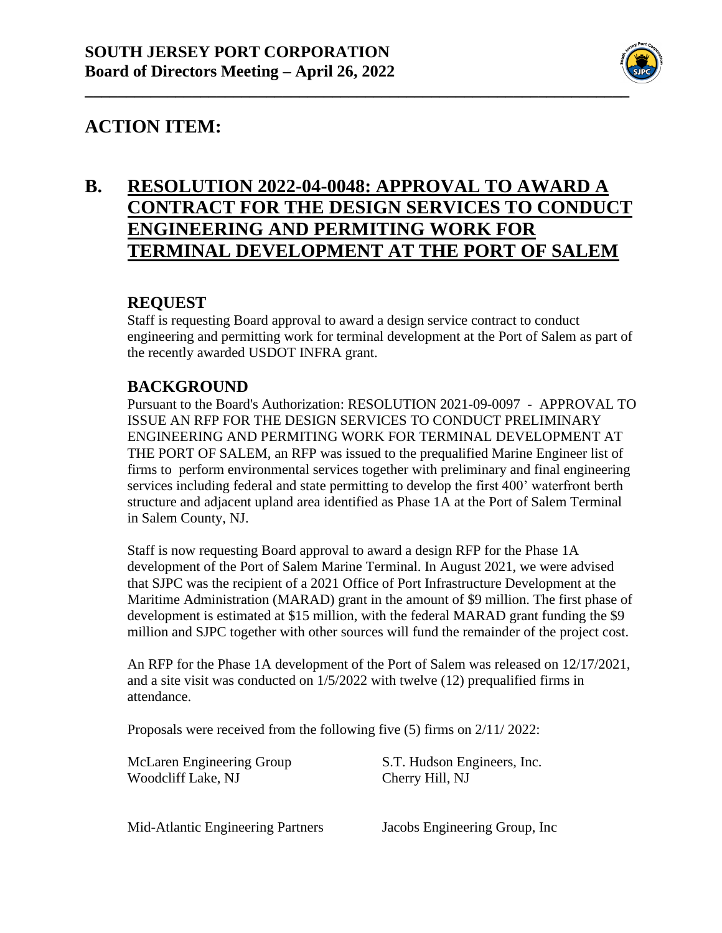

## **B. RESOLUTION 2022-04-0048: APPROVAL TO AWARD A CONTRACT FOR THE DESIGN SERVICES TO CONDUCT ENGINEERING AND PERMITING WORK FOR TERMINAL DEVELOPMENT AT THE PORT OF SALEM**

#### **REQUEST**

Staff is requesting Board approval to award a design service contract to conduct engineering and permitting work for terminal development at the Port of Salem as part of the recently awarded USDOT INFRA grant.

#### **BACKGROUND**

Pursuant to the Board's Authorization: RESOLUTION 2021-09-0097 - APPROVAL TO ISSUE AN RFP FOR THE DESIGN SERVICES TO CONDUCT PRELIMINARY ENGINEERING AND PERMITING WORK FOR TERMINAL DEVELOPMENT AT THE PORT OF SALEM, an RFP was issued to the prequalified Marine Engineer list of firms to perform environmental services together with preliminary and final engineering services including federal and state permitting to develop the first 400' waterfront berth structure and adjacent upland area identified as Phase 1A at the Port of Salem Terminal in Salem County, NJ.

Staff is now requesting Board approval to award a design RFP for the Phase 1A development of the Port of Salem Marine Terminal. In August 2021, we were advised that SJPC was the recipient of a 2021 Office of Port Infrastructure Development at the Maritime Administration (MARAD) grant in the amount of \$9 million. The first phase of development is estimated at \$15 million, with the federal MARAD grant funding the \$9 million and SJPC together with other sources will fund the remainder of the project cost.

An RFP for the Phase 1A development of the Port of Salem was released on 12/17/2021, and a site visit was conducted on 1/5/2022 with twelve (12) prequalified firms in attendance.

Proposals were received from the following five (5) firms on 2/11/ 2022:

McLaren Engineering Group S.T. Hudson Engineers, Inc. Woodcliff Lake, NJ Cherry Hill, NJ

Mid-Atlantic Engineering Partners Jacobs Engineering Group, Inc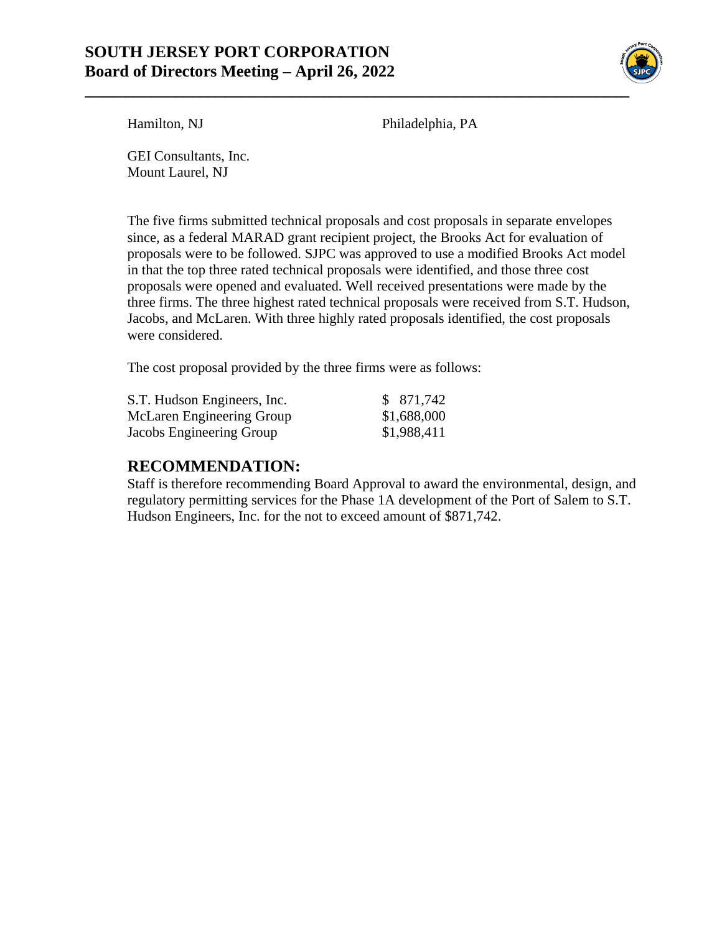#### **SOUTH JERSEY PORT CORPORATION Board of Directors Meeting – April 26, 2022**



Hamilton, NJ Philadelphia, PA

GEI Consultants, Inc. Mount Laurel, NJ

The five firms submitted technical proposals and cost proposals in separate envelopes since, as a federal MARAD grant recipient project, the Brooks Act for evaluation of proposals were to be followed. SJPC was approved to use a modified Brooks Act model in that the top three rated technical proposals were identified, and those three cost proposals were opened and evaluated. Well received presentations were made by the three firms. The three highest rated technical proposals were received from S.T. Hudson, Jacobs, and McLaren. With three highly rated proposals identified, the cost proposals were considered.

The cost proposal provided by the three firms were as follows:

| S.T. Hudson Engineers, Inc. | \$ 871,742  |
|-----------------------------|-------------|
| McLaren Engineering Group   | \$1,688,000 |
| Jacobs Engineering Group    | \$1,988,411 |

#### **RECOMMENDATION:**

Staff is therefore recommending Board Approval to award the environmental, design, and regulatory permitting services for the Phase 1A development of the Port of Salem to S.T. Hudson Engineers, Inc. for the not to exceed amount of \$871,742.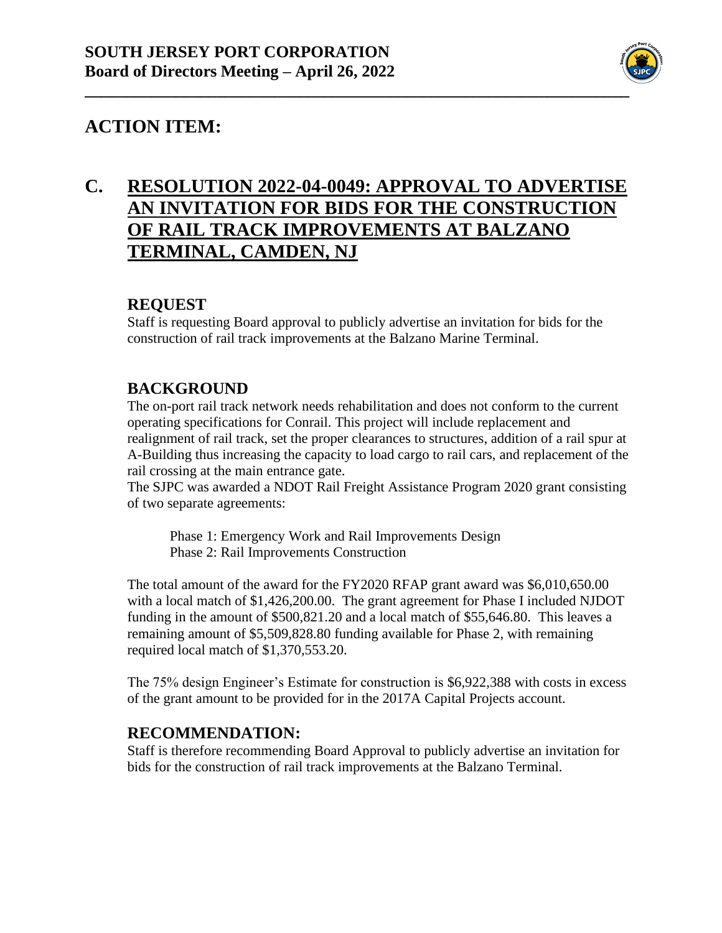

## **C. RESOLUTION 2022-04-0049: APPROVAL TO ADVERTISE AN INVITATION FOR BIDS FOR THE CONSTRUCTION OF RAIL TRACK IMPROVEMENTS AT BALZANO TERMINAL, CAMDEN, NJ**

#### **REQUEST**

Staff is requesting Board approval to publicly advertise an invitation for bids for the construction of rail track improvements at the Balzano Marine Terminal.

#### **BACKGROUND**

The on-port rail track network needs rehabilitation and does not conform to the current operating specifications for Conrail. This project will include replacement and realignment of rail track, set the proper clearances to structures, addition of a rail spur at A-Building thus increasing the capacity to load cargo to rail cars, and replacement of the rail crossing at the main entrance gate.

The SJPC was awarded a NDOT Rail Freight Assistance Program 2020 grant consisting of two separate agreements:

Phase 1: Emergency Work and Rail Improvements Design Phase 2: Rail Improvements Construction

The total amount of the award for the FY2020 RFAP grant award was \$6,010,650.00 with a local match of \$1,426,200.00. The grant agreement for Phase I included NJDOT funding in the amount of \$500,821.20 and a local match of \$55,646.80. This leaves a remaining amount of \$5,509,828.80 funding available for Phase 2, with remaining required local match of \$1,370,553.20.

The 75% design Engineer's Estimate for construction is \$6,922,388 with costs in excess of the grant amount to be provided for in the 2017A Capital Projects account.

#### **RECOMMENDATION:**

Staff is therefore recommending Board Approval to publicly advertise an invitation for bids for the construction of rail track improvements at the Balzano Terminal.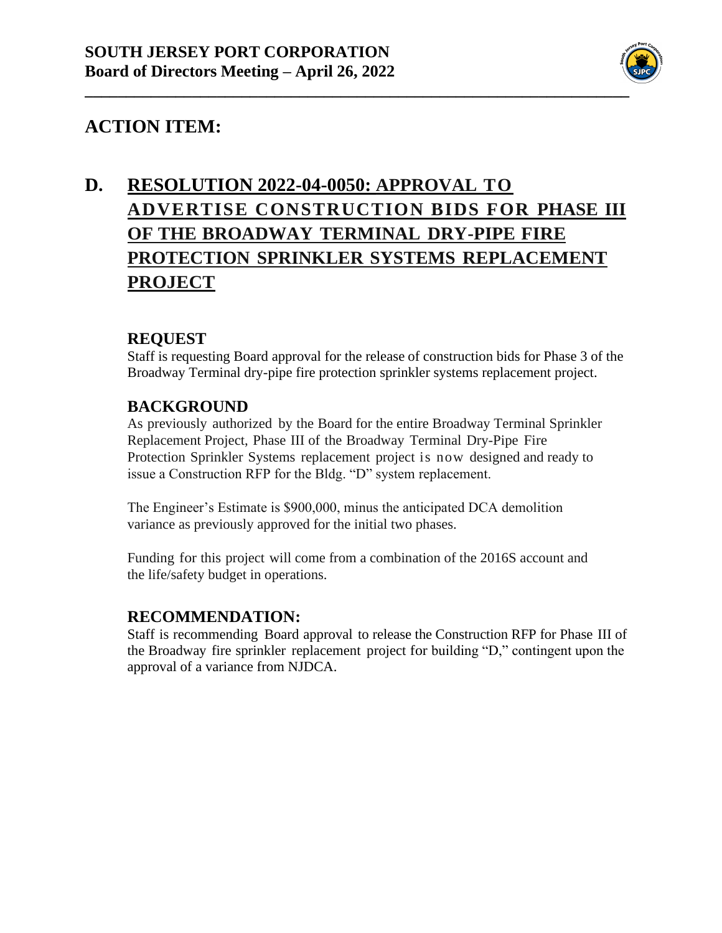

# **D. RESOLUTION 2022-04-0050: APPROVAL TO ADVERTISE CONSTRUCTION BIDS FOR PHASE III OF THE BROADWAY TERMINAL DRY-PIPE FIRE PROTECTION SPRINKLER SYSTEMS REPLACEMENT PROJECT**

#### **REQUEST**

Staff is requesting Board approval for the release of construction bids for Phase 3 of the Broadway Terminal dry-pipe fire protection sprinkler systems replacement project.

#### **BACKGROUND**

As previously authorized by the Board for the entire Broadway Terminal Sprinkler Replacement Project, Phase III of the Broadway Terminal Dry-Pipe Fire Protection Sprinkler Systems replacement project is now designed and ready to issue a Construction RFP for the Bldg. "D" system replacement.

The Engineer's Estimate is \$900,000, minus the anticipated DCA demolition variance as previously approved for the initial two phases.

Funding for this project will come from a combination of the 2016S account and the life/safety budget in operations.

#### **RECOMMENDATION:**

Staff is recommending Board approval to release the Construction RFP for Phase III of the Broadway fire sprinkler replacement project for building "D," contingent upon the approval of a variance from NJDCA.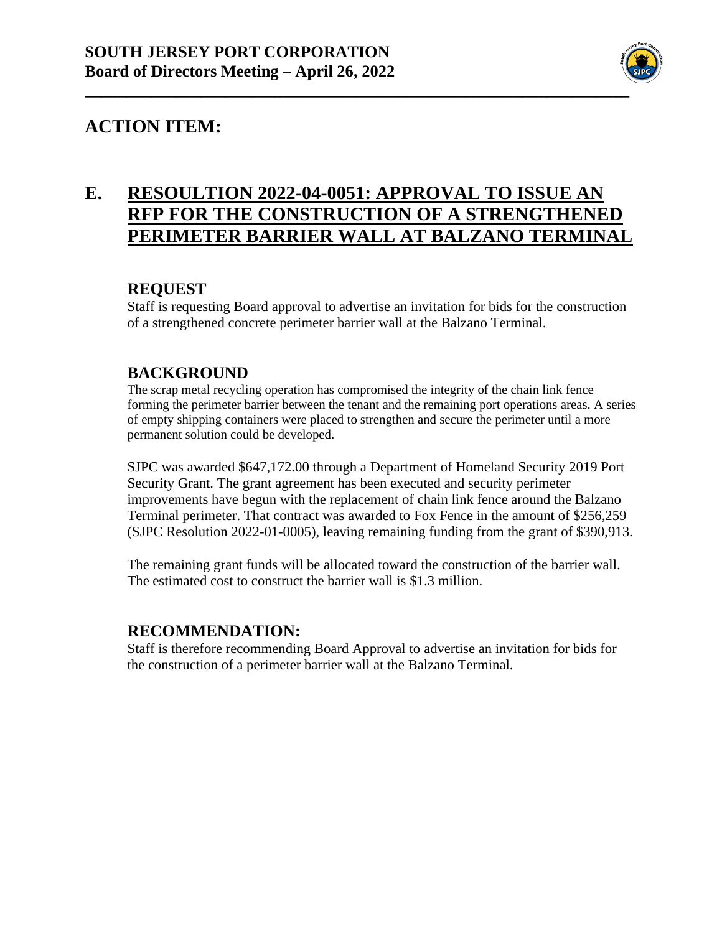

## **E. RESOULTION 2022-04-0051: APPROVAL TO ISSUE AN RFP FOR THE CONSTRUCTION OF A STRENGTHENED PERIMETER BARRIER WALL AT BALZANO TERMINAL**

#### **REQUEST**

Staff is requesting Board approval to advertise an invitation for bids for the construction of a strengthened concrete perimeter barrier wall at the Balzano Terminal.

#### **BACKGROUND**

The scrap metal recycling operation has compromised the integrity of the chain link fence forming the perimeter barrier between the tenant and the remaining port operations areas. A series of empty shipping containers were placed to strengthen and secure the perimeter until a more permanent solution could be developed.

SJPC was awarded \$647,172.00 through a Department of Homeland Security 2019 Port Security Grant. The grant agreement has been executed and security perimeter improvements have begun with the replacement of chain link fence around the Balzano Terminal perimeter. That contract was awarded to Fox Fence in the amount of \$256,259 (SJPC Resolution 2022-01-0005), leaving remaining funding from the grant of \$390,913.

The remaining grant funds will be allocated toward the construction of the barrier wall. The estimated cost to construct the barrier wall is \$1.3 million.

#### **RECOMMENDATION:**

Staff is therefore recommending Board Approval to advertise an invitation for bids for the construction of a perimeter barrier wall at the Balzano Terminal.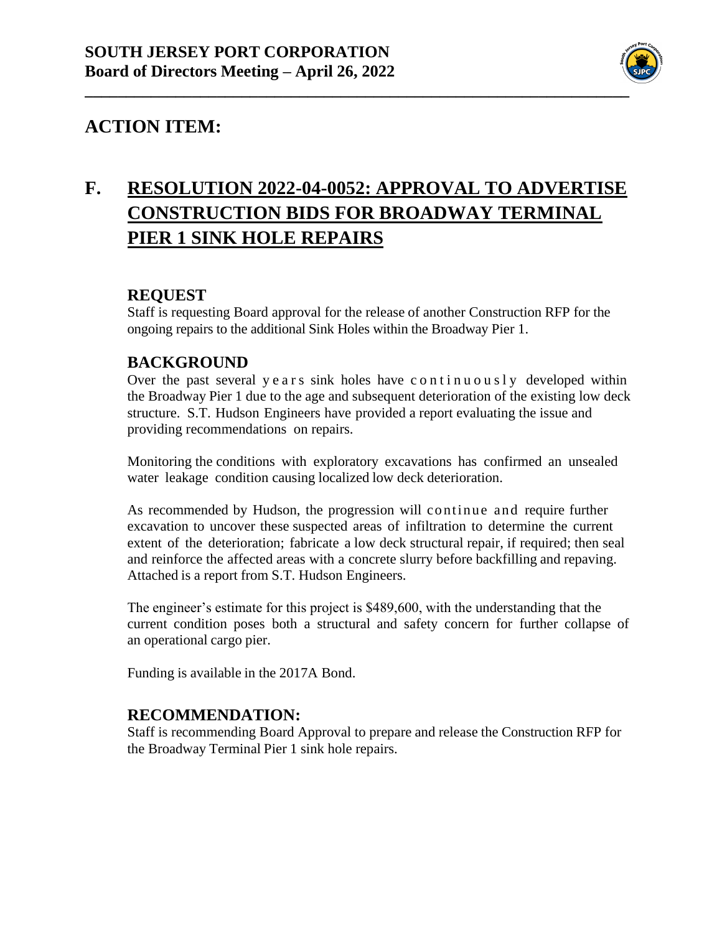

# **F. RESOLUTION 2022-04-0052: APPROVAL TO ADVERTISE CONSTRUCTION BIDS FOR BROADWAY TERMINAL PIER 1 SINK HOLE REPAIRS**

#### **REQUEST**

Staff is requesting Board approval for the release of another Construction RFP for the ongoing repairs to the additional Sink Holes within the Broadway Pier 1.

#### **BACKGROUND**

Over the past several y e a r s sink holes have c on t in  $u$  o  $u$  s  $l$  y developed within the Broadway Pier 1 due to the age and subsequent deterioration of the existing low deck structure. S.T. Hudson Engineers have provided a report evaluating the issue and providing recommendations on repairs.

Monitoring the conditions with exploratory excavations has confirmed an unsealed water leakage condition causing localized low deck deterioration.

As recommended by Hudson, the progression will continue and require further excavation to uncover these suspected areas of infiltration to determine the current extent of the deterioration; fabricate a low deck structural repair, if required; then seal and reinforce the affected areas with a concrete slurry before backfilling and repaving. Attached is a report from S.T. Hudson Engineers.

The engineer's estimate for this project is \$489,600, with the understanding that the current condition poses both a structural and safety concern for further collapse of an operational cargo pier.

Funding is available in the 2017A Bond.

#### **RECOMMENDATION:**

Staff is recommending Board Approval to prepare and release the Construction RFP for the Broadway Terminal Pier 1 sink hole repairs.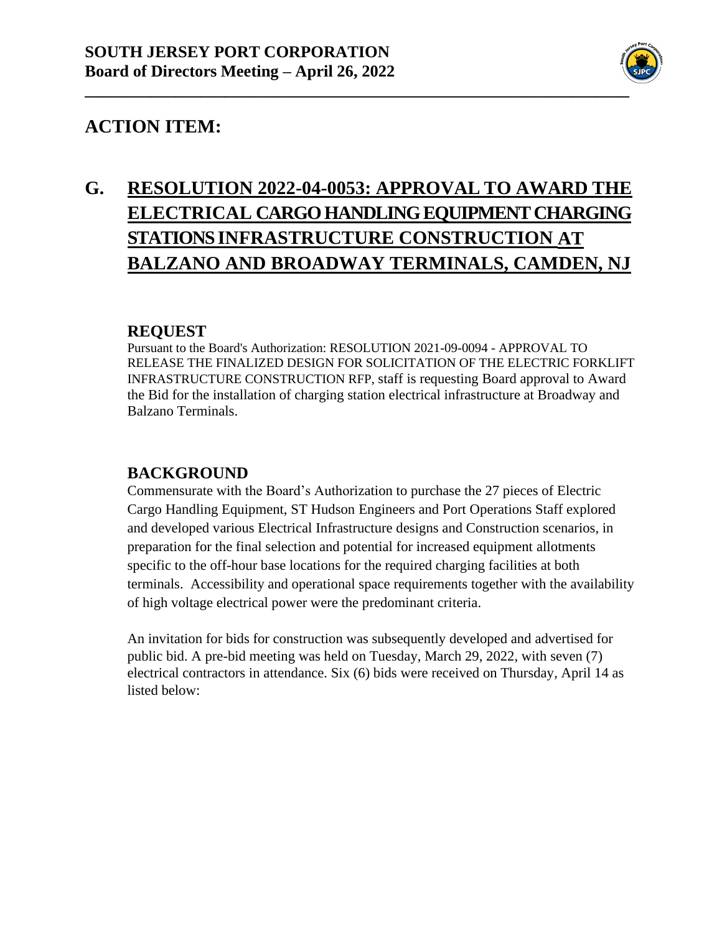

# **G. RESOLUTION 2022-04-0053: APPROVAL TO AWARD THE ELECTRICAL CARGO HANDLING EQUIPMENT CHARGING STATIONS INFRASTRUCTURE CONSTRUCTION AT BALZANO AND BROADWAY TERMINALS, CAMDEN, NJ**

#### **REQUEST**

Pursuant to the Board's Authorization: RESOLUTION 2021-09-0094 - APPROVAL TO RELEASE THE FINALIZED DESIGN FOR SOLICITATION OF THE ELECTRIC FORKLIFT INFRASTRUCTURE CONSTRUCTION RFP, staff is requesting Board approval to Award the Bid for the installation of charging station electrical infrastructure at Broadway and Balzano Terminals.

#### **BACKGROUND**

Commensurate with the Board's Authorization to purchase the 27 pieces of Electric Cargo Handling Equipment, ST Hudson Engineers and Port Operations Staff explored and developed various Electrical Infrastructure designs and Construction scenarios, in preparation for the final selection and potential for increased equipment allotments specific to the off-hour base locations for the required charging facilities at both terminals. Accessibility and operational space requirements together with the availability of high voltage electrical power were the predominant criteria.

An invitation for bids for construction was subsequently developed and advertised for public bid. A pre-bid meeting was held on Tuesday, March 29, 2022, with seven (7) electrical contractors in attendance. Six (6) bids were received on Thursday, April 14 as listed below: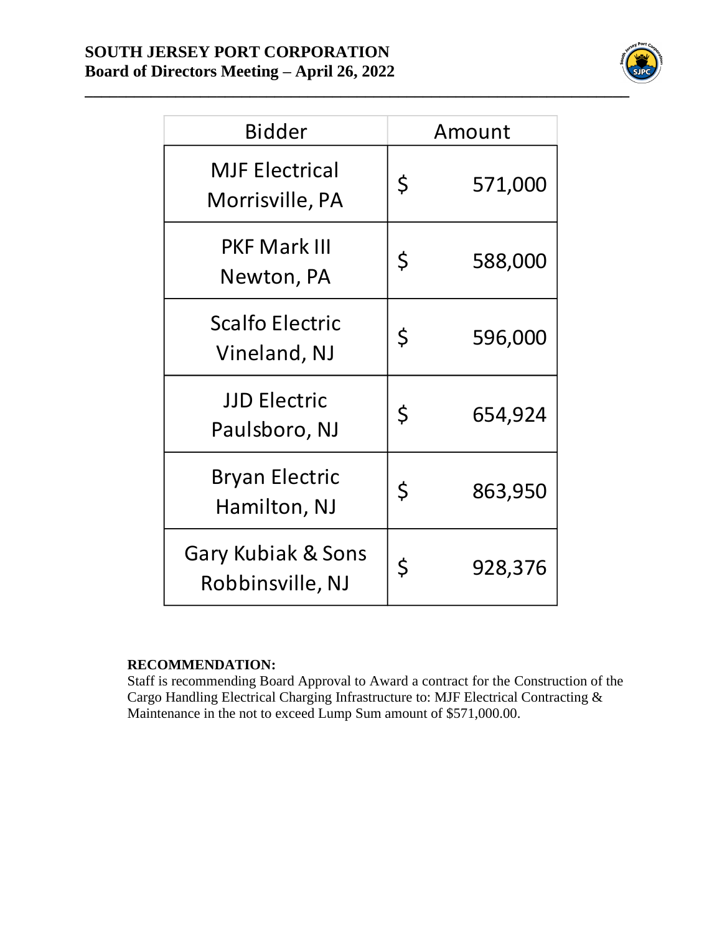#### **SOUTH JERSEY PORT CORPORATION Board of Directors Meeting – April 26, 2022**



| <b>Bidder</b>                            |             | Amount  |
|------------------------------------------|-------------|---------|
| <b>MJF Electrical</b><br>Morrisville, PA | \$          | 571,000 |
| <b>PKF Mark III</b><br>Newton, PA        | \$          | 588,000 |
| <b>Scalfo Electric</b><br>Vineland, NJ   | \$          | 596,000 |
| <b>JJD Electric</b><br>Paulsboro, NJ     | $\zeta$     | 654,924 |
| <b>Bryan Electric</b><br>Hamilton, NJ    | $\varsigma$ | 863,950 |
| Gary Kubiak & Sons<br>Robbinsville, NJ   | \$          | 928,376 |

#### **RECOMMENDATION:**

Staff is recommending Board Approval to Award a contract for the Construction of the Cargo Handling Electrical Charging Infrastructure to: MJF Electrical Contracting & Maintenance in the not to exceed Lump Sum amount of \$571,000.00.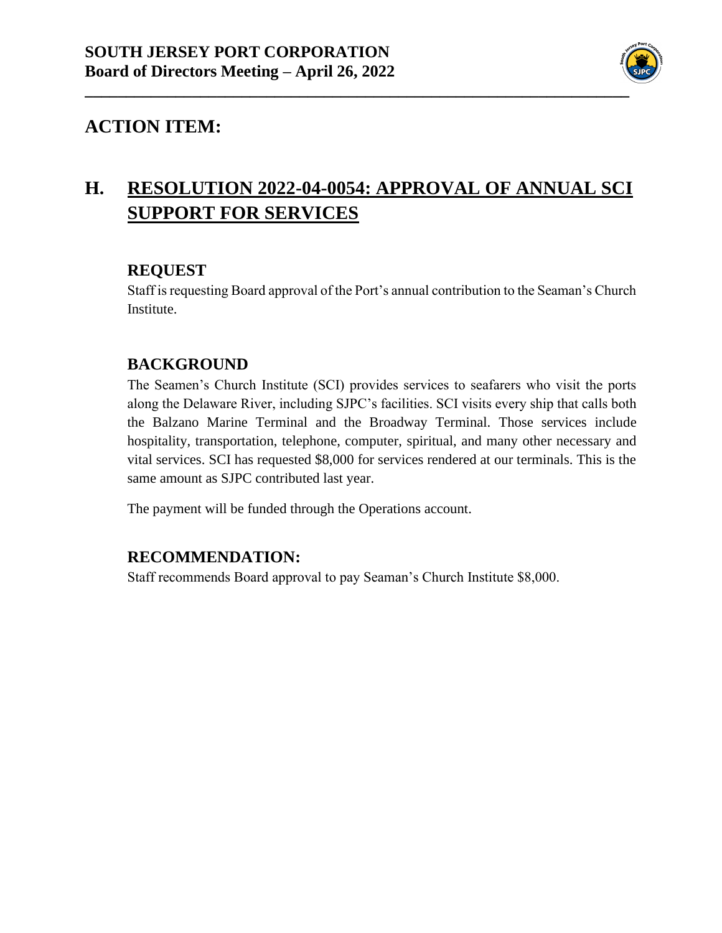

# **H. RESOLUTION 2022-04-0054: APPROVAL OF ANNUAL SCI SUPPORT FOR SERVICES**

#### **REQUEST**

Staff is requesting Board approval of the Port's annual contribution to the Seaman's Church Institute.

#### **BACKGROUND**

The Seamen's Church Institute (SCI) provides services to seafarers who visit the ports along the Delaware River, including SJPC's facilities. SCI visits every ship that calls both the Balzano Marine Terminal and the Broadway Terminal. Those services include hospitality, transportation, telephone, computer, spiritual, and many other necessary and vital services. SCI has requested \$8,000 for services rendered at our terminals. This is the same amount as SJPC contributed last year.

The payment will be funded through the Operations account.

#### **RECOMMENDATION:**

Staff recommends Board approval to pay Seaman's Church Institute \$8,000.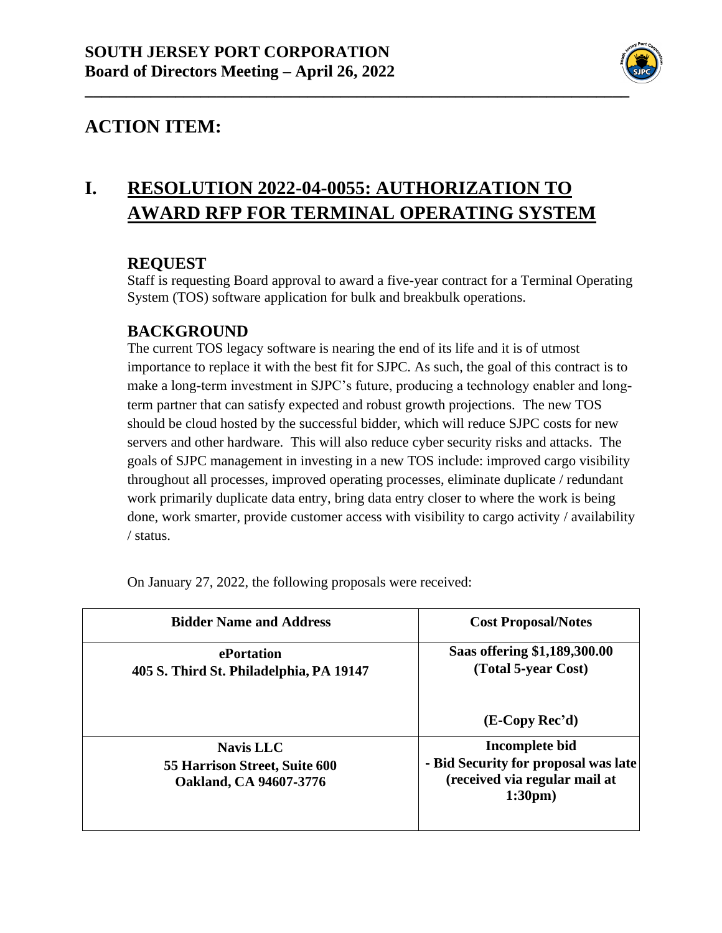

## **I. RESOLUTION 2022-04-0055: AUTHORIZATION TO AWARD RFP FOR TERMINAL OPERATING SYSTEM**

#### **REQUEST**

Staff is requesting Board approval to award a five-year contract for a Terminal Operating System (TOS) software application for bulk and breakbulk operations.

#### **BACKGROUND**

The current TOS legacy software is nearing the end of its life and it is of utmost importance to replace it with the best fit for SJPC. As such, the goal of this contract is to make a long-term investment in SJPC's future, producing a technology enabler and longterm partner that can satisfy expected and robust growth projections. The new TOS should be cloud hosted by the successful bidder, which will reduce SJPC costs for new servers and other hardware. This will also reduce cyber security risks and attacks. The goals of SJPC management in investing in a new TOS include: improved cargo visibility throughout all processes, improved operating processes, eliminate duplicate / redundant work primarily duplicate data entry, bring data entry closer to where the work is being done, work smarter, provide customer access with visibility to cargo activity / availability / status.

| <b>Bidder Name and Address</b>                                              | <b>Cost Proposal/Notes</b>                                                                                    |
|-----------------------------------------------------------------------------|---------------------------------------------------------------------------------------------------------------|
| ePortation<br>405 S. Third St. Philadelphia, PA 19147                       | Saas offering \$1,189,300.00<br>(Total 5-year Cost)                                                           |
|                                                                             | $(E-Copy Rec'd)$                                                                                              |
| <b>Navis LLC</b><br>55 Harrison Street, Suite 600<br>Oakland, CA 94607-3776 | Incomplete bid<br>- Bid Security for proposal was late<br>(received via regular mail at<br>1:30 <sub>pm</sub> |

On January 27, 2022, the following proposals were received: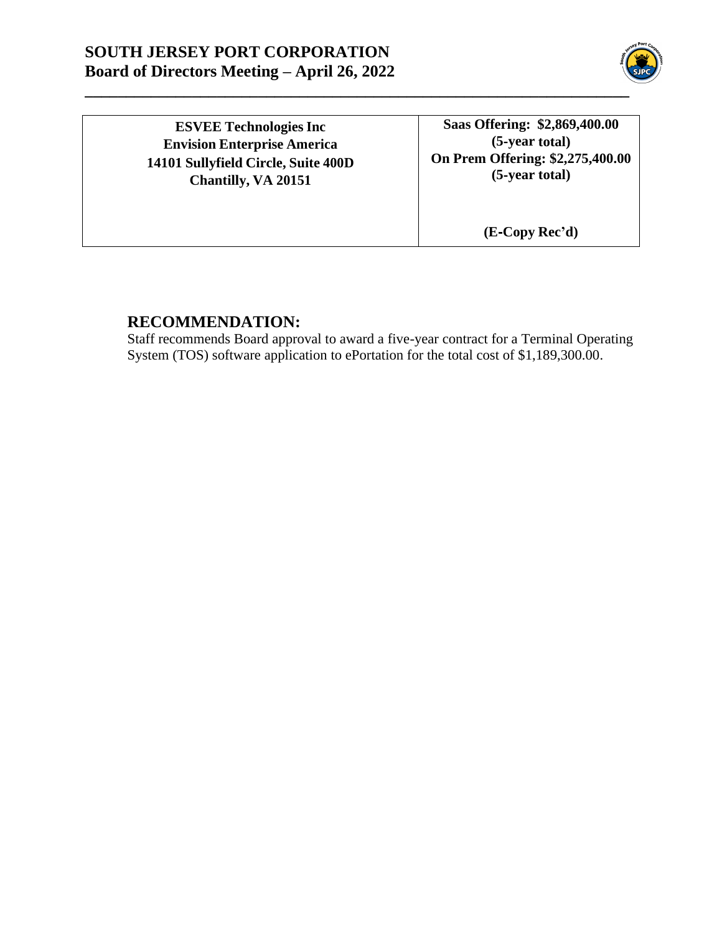#### **SOUTH JERSEY PORT CORPORATION Board of Directors Meeting – April 26, 2022**



**ESVEE Technologies Inc Envision Enterprise America 14101 Sullyfield Circle, Suite 400D Chantilly, VA 20151**

**Saas Offering: \$2,869,400.00 (5**-**year total) On Prem Offering: \$2,275,400.00 (5**‐**year total)**

**(E**‐**Copy Rec'd)**

#### **RECOMMENDATION:**

Staff recommends Board approval to award a five-year contract for a Terminal Operating System (TOS) software application to ePortation for the total cost of \$1,189,300.00.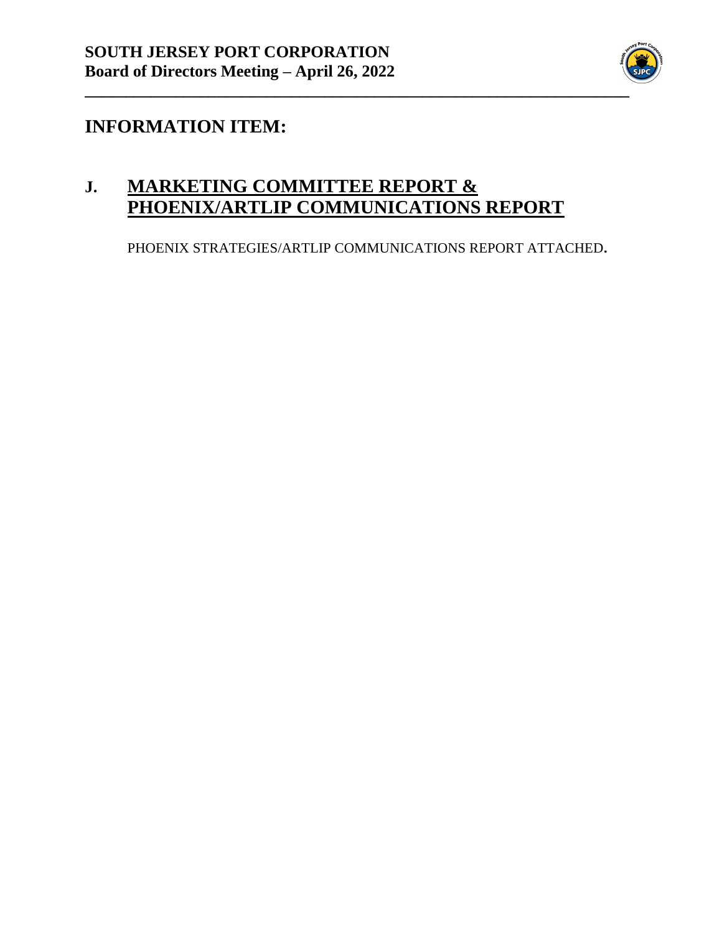

## **INFORMATION ITEM:**

## **J. MARKETING COMMITTEE REPORT & PHOENIX/ARTLIP COMMUNICATIONS REPORT**

PHOENIX STRATEGIES/ARTLIP COMMUNICATIONS REPORT ATTACHED**.**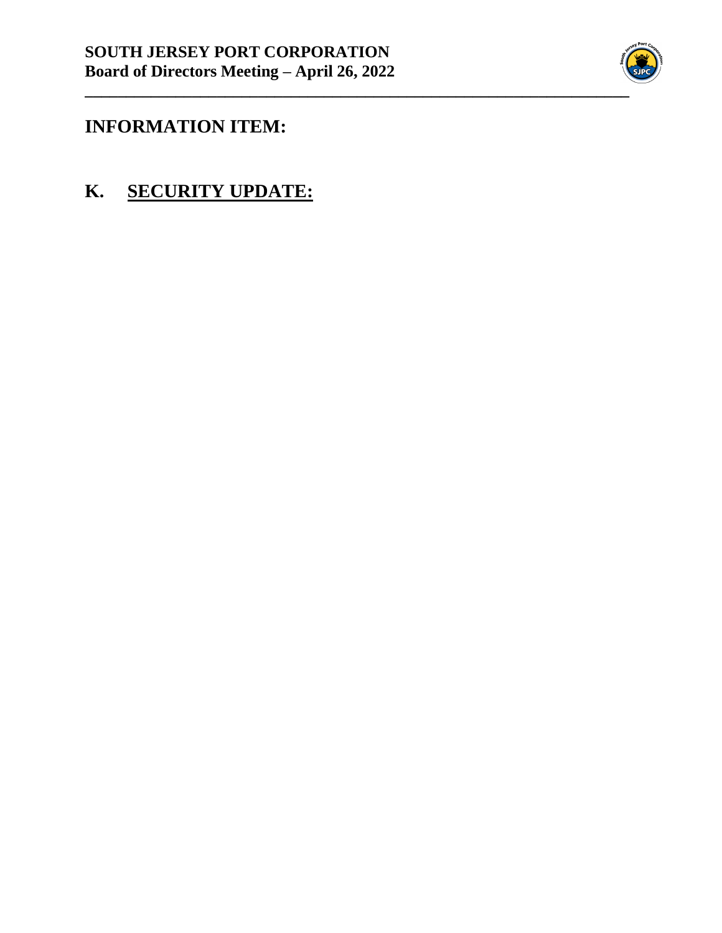

## **INFORMATION ITEM:**

**K. SECURITY UPDATE:**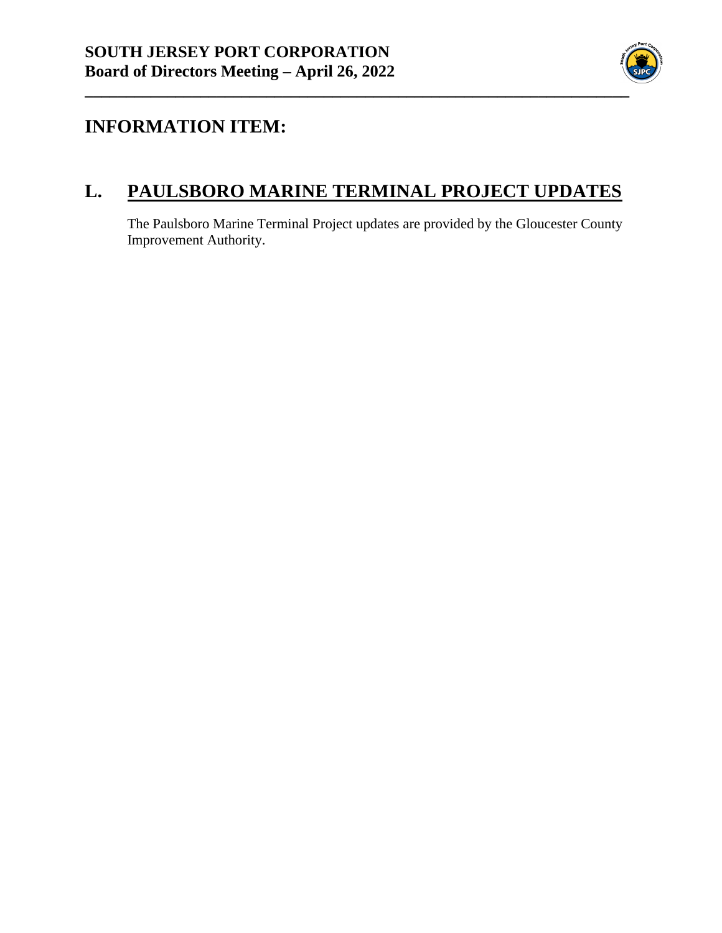

## **INFORMATION ITEM:**

## **L. PAULSBORO MARINE TERMINAL PROJECT UPDATES**

The Paulsboro Marine Terminal Project updates are provided by the Gloucester County Improvement Authority.